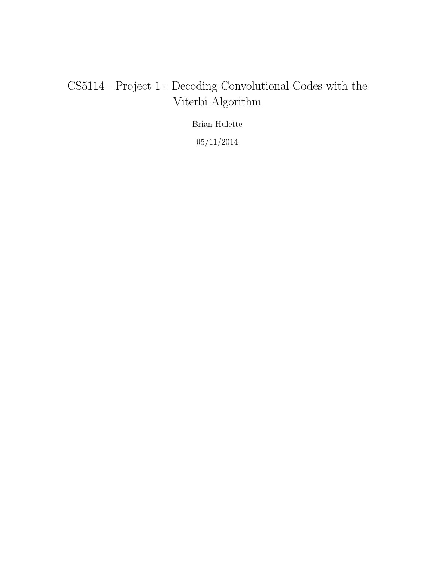# CS5114 - Project 1 - Decoding Convolutional Codes with the Viterbi Algorithm

Brian Hulette

 $05/11/2014\,$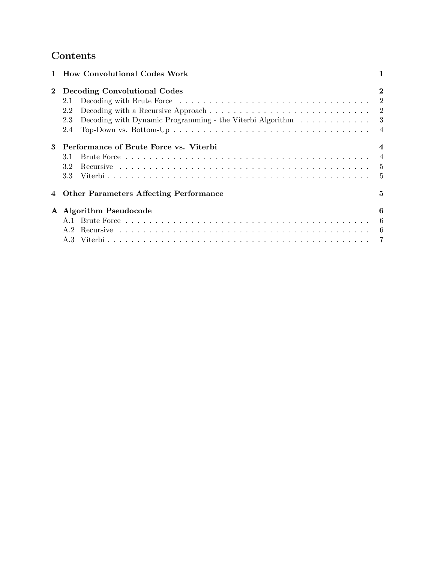## Contents

|              | 1 How Convolutional Codes Work                                                                               |                |
|--------------|--------------------------------------------------------------------------------------------------------------|----------------|
| $\mathbf{2}$ | Decoding Convolutional Codes                                                                                 | $\mathbf{2}$   |
|              | 2.1                                                                                                          |                |
|              | Decoding with a Recursive Approach $\ldots \ldots \ldots \ldots \ldots \ldots \ldots \ldots \ldots 2$<br>2.2 |                |
|              | Decoding with Dynamic Programming - the Viterbi Algorithm 3<br>2.3                                           |                |
|              | 2.4                                                                                                          |                |
|              | Performance of Brute Force vs. Viterbi                                                                       | $\overline{4}$ |
|              | 3.1                                                                                                          | $\overline{4}$ |
|              | 3.2                                                                                                          |                |
|              | 3.3                                                                                                          |                |
|              | <b>Other Parameters Affecting Performance</b>                                                                | 5              |
|              | A Algorithm Pseudocode                                                                                       | 6              |
|              |                                                                                                              | -6             |
|              | A.2                                                                                                          |                |
|              |                                                                                                              |                |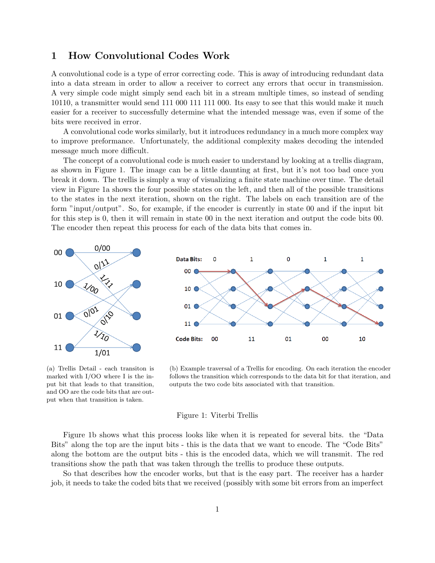## 1 How Convolutional Codes Work

A convolutional code is a type of error correcting code. This is away of introducing redundant data into a data stream in order to allow a receiver to correct any errors that occur in transmission. A very simple code might simply send each bit in a stream multiple times, so instead of sending 10110, a transmitter would send 111 000 111 111 000. Its easy to see that this would make it much easier for a receiver to successfully determine what the intended message was, even if some of the bits were received in error.

A convolutional code works similarly, but it introduces redundancy in a much more complex way to improve preformance. Unfortunately, the additional complexity makes decoding the intended message much more difficult.

The concept of a convolutional code is much easier to understand by looking at a trellis diagram, as shown in Figure 1. The image can be a little daunting at first, but it's not too bad once you break it down. The trellis is simply a way of visualizing a finite state machine over time. The detail view in Figure 1a shows the four possible states on the left, and then all of the possible transitions to the states in the next iteration, shown on the right. The labels on each transition are of the form "input/output". So, for example, if the encoder is currently in state 00 and if the input bit for this step is 0, then it will remain in state 00 in the next iteration and output the code bits 00. The encoder then repeat this process for each of the data bits that comes in.



(a) Trellis Detail - each transiton is marked with I/OO where I is the input bit that leads to that transition, and OO are the code bits that are output when that transition is taken.

(b) Example traversal of a Trellis for encoding. On each iteration the encoder follows the transition which corresponds to the data bit for that iteration, and outputs the two code bits associated with that transition.

#### Figure 1: Viterbi Trellis

Figure 1b shows what this process looks like when it is repeated for several bits. the "Data Bits" along the top are the input bits - this is the data that we want to encode. The "Code Bits" along the bottom are the output bits - this is the encoded data, which we will transmit. The red transitions show the path that was taken through the trellis to produce these outputs.

So that describes how the encoder works, but that is the easy part. The receiver has a harder job, it needs to take the coded bits that we received (possibly with some bit errors from an imperfect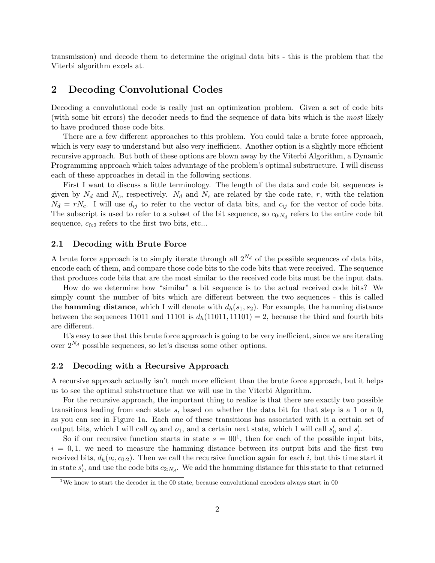transmission) and decode them to determine the original data bits - this is the problem that the Viterbi algorithm excels at.

## 2 Decoding Convolutional Codes

Decoding a convolutional code is really just an optimization problem. Given a set of code bits (with some bit errors) the decoder needs to find the sequence of data bits which is the most likely to have produced those code bits.

There are a few different approaches to this problem. You could take a brute force approach, which is very easy to understand but also very inefficient. Another option is a slightly more efficient recursive approach. But both of these options are blown away by the Viterbi Algorithm, a Dynamic Programming approach which takes advantage of the problem's optimal substructure. I will discuss each of these approaches in detail in the following sections.

First I want to discuss a little terminology. The length of the data and code bit sequences is given by  $N_d$  and  $N_c$ , respectively.  $N_d$  and  $N_c$  are related by the code rate, r, with the relation  $N_d = rN_c$ . I will use  $d_{ij}$  to refer to the vector of data bits, and  $c_{ij}$  for the vector of code bits. The subscript is used to refer to a subset of the bit sequence, so  $c_{0:N_d}$  refers to the entire code bit sequence,  $c_{0:2}$  refers to the first two bits, etc...

#### 2.1 Decoding with Brute Force

A brute force approach is to simply iterate through all  $2^{N_d}$  of the possible sequences of data bits, encode each of them, and compare those code bits to the code bits that were received. The sequence that produces code bits that are the most similar to the received code bits must be the input data.

How do we determine how "similar" a bit sequence is to the actual received code bits? We simply count the number of bits which are different between the two sequences - this is called the **hamming distance**, which I will denote with  $d_h(s_1, s_2)$ . For example, the hamming distance between the sequences 11011 and 11101 is  $d_h(11011, 11101) = 2$ , because the third and fourth bits are different.

It's easy to see that this brute force approach is going to be very inefficient, since we are iterating over  $2^{N_d}$  possible sequences, so let's discuss some other options.

#### 2.2 Decoding with a Recursive Approach

A recursive approach actually isn't much more efficient than the brute force approach, but it helps us to see the optimal substructure that we will use in the Viterbi Algorithm.

For the recursive approach, the important thing to realize is that there are exactly two possible transitions leading from each state s, based on whether the data bit for that step is a 1 or a 0, as you can see in Figure 1a. Each one of these transitions has associated with it a certain set of output bits, which I will call  $o_0$  and  $o_1$ , and a certain next state, which I will call  $s'_0$  and  $s'_1$ .

So if our recursive function starts in state  $s = 00<sup>1</sup>$ , then for each of the possible input bits,  $i = 0, 1$ , we need to measure the hamming distance between its output bits and the first two received bits,  $d_h(o_i, c_{0:2})$ . Then we call the recursive function again for each i, but this time start it in state  $s_i'$ , and use the code bits  $c_{2:N_d}$ . We add the hamming distance for this state to that returned

<sup>&</sup>lt;sup>1</sup>We know to start the decoder in the 00 state, because convolutional encoders always start in 00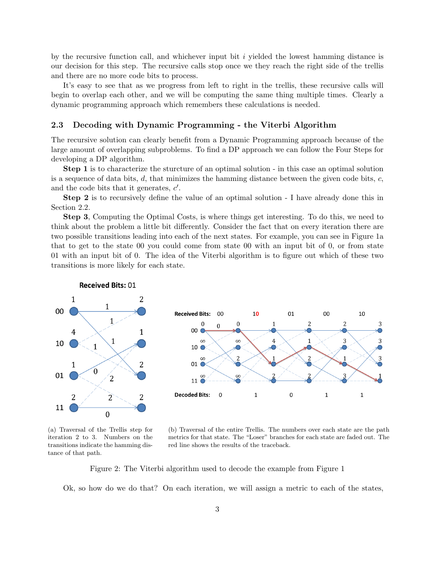by the recursive function call, and whichever input bit  $i$  yielded the lowest hamming distance is our decision for this step. The recursive calls stop once we they reach the right side of the trellis and there are no more code bits to process.

It's easy to see that as we progress from left to right in the trellis, these recursive calls will begin to overlap each other, and we will be computing the same thing multiple times. Clearly a dynamic programming approach which remembers these calculations is needed.

#### 2.3 Decoding with Dynamic Programming - the Viterbi Algorithm

The recursive solution can clearly benefit from a Dynamic Programming approach because of the large amount of overlapping subproblems. To find a DP approach we can follow the Four Steps for developing a DP algorithm.

Step 1 is to characterize the sturcture of an optimal solution - in this case an optimal solution is a sequence of data bits,  $d$ , that minimizes the hamming distance between the given code bits,  $c$ , and the code bits that it generates,  $c'$ .

Step 2 is to recursively define the value of an optimal solution - I have already done this in Section 2.2.

Step 3, Computing the Optimal Costs, is where things get interesting. To do this, we need to think about the problem a little bit differently. Consider the fact that on every iteration there are two possible transitions leading into each of the next states. For example, you can see in Figure 1a that to get to the state 00 you could come from state 00 with an input bit of 0, or from state 01 with an input bit of 0. The idea of the Viterbi algorithm is to figure out which of these two transitions is more likely for each state.



(a) Traversal of the Trellis step for iteration 2 to 3. Numbers on the transitions indicate the hamming distance of that path.

(b) Traversal of the entire Trellis. The numbers over each state are the path metrics for that state. The "Loser" branches for each state are faded out. The red line shows the results of the traceback.

Figure 2: The Viterbi algorithm used to decode the example from Figure 1

Ok, so how do we do that? On each iteration, we will assign a metric to each of the states,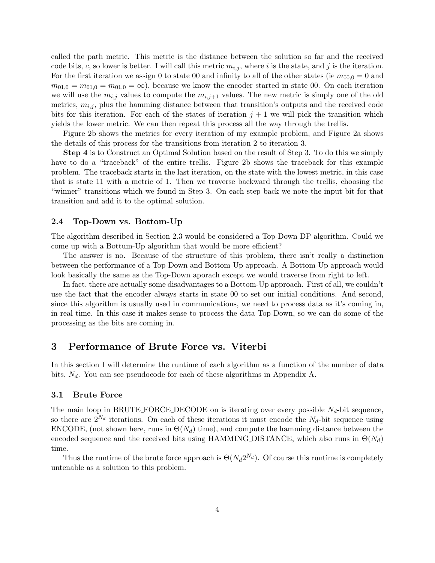called the path metric. This metric is the distance between the solution so far and the received code bits, c, so lower is better. I will call this metric  $m_{i,j}$ , where i is the state, and j is the iteration. For the first iteration we assign 0 to state 00 and infinity to all of the other states (ie  $m_{00,0} = 0$  and  $m_{01,0} = m_{01,0} = m_{01,0} = \infty$ , because we know the encoder started in state 00. On each iteration we will use the  $m_{i,j}$  values to compute the  $m_{i,j+1}$  values. The new metric is simply one of the old metrics,  $m_{i,j}$ , plus the hamming distance between that transition's outputs and the received code bits for this iteration. For each of the states of iteration  $j + 1$  we will pick the transition which yields the lower metric. We can then repeat this process all the way through the trellis.

Figure 2b shows the metrics for every iteration of my example problem, and Figure 2a shows the details of this process for the transitions from iteration 2 to iteration 3.

Step 4 is to Construct an Optimal Solution based on the result of Step 3. To do this we simply have to do a "traceback" of the entire trellis. Figure 2b shows the traceback for this example problem. The traceback starts in the last iteration, on the state with the lowest metric, in this case that is state 11 with a metric of 1. Then we traverse backward through the trellis, choosing the "winner" transitions which we found in Step 3. On each step back we note the input bit for that transition and add it to the optimal solution.

#### 2.4 Top-Down vs. Bottom-Up

The algorithm described in Section 2.3 would be considered a Top-Down DP algorithm. Could we come up with a Bottum-Up algorithm that would be more efficient?

The answer is no. Because of the structure of this problem, there isn't really a distinction between the performance of a Top-Down and Bottom-Up approach. A Bottom-Up approach would look basically the same as the Top-Down aporach except we would traverse from right to left.

In fact, there are actually some disadvantages to a Bottom-Up approach. First of all, we couldn't use the fact that the encoder always starts in state 00 to set our initial conditions. And second, since this algorithm is usually used in communications, we need to process data as it's coming in, in real time. In this case it makes sense to process the data Top-Down, so we can do some of the processing as the bits are coming in.

## 3 Performance of Brute Force vs. Viterbi

In this section I will determine the runtime of each algorithm as a function of the number of data bits,  $N_d$ . You can see pseudocode for each of these algorithms in Appendix A.

#### 3.1 Brute Force

The main loop in BRUTE FORCE DECODE on is iterating over every possible  $N_d$ -bit sequence, so there are  $2^{N_d}$  iterations. On each of these iterations it must encode the  $N_d$ -bit sequence using ENCODE, (not shown here, runs in  $\Theta(N_d)$  time), and compute the hamming distance between the encoded sequence and the received bits using HAMMING DISTANCE, which also runs in  $\Theta(N_d)$ time.

Thus the runtime of the brute force approach is  $\Theta(N_d 2^{N_d})$ . Of course this runtime is completely untenable as a solution to this problem.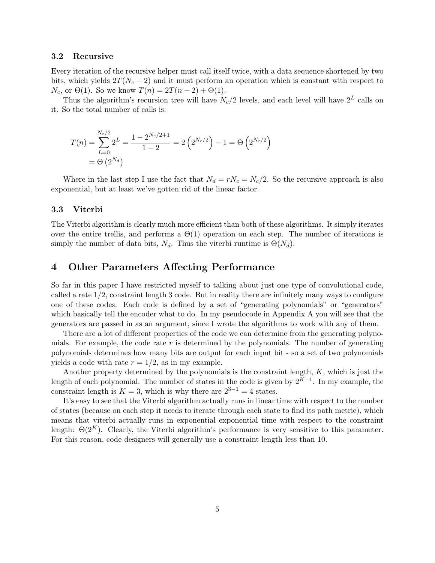#### 3.2 Recursive

Every iteration of the recursive helper must call itself twice, with a data sequence shortened by two bits, which yields  $2T(N_c - 2)$  and it must perform an operation which is constant with respect to  $N_c$ , or  $\Theta(1)$ . So we know  $T(n) = 2T(n-2) + \Theta(1)$ .

Thus the algorithm's recursion tree will have  $N_c/2$  levels, and each level will have  $2^L$  calls on it. So the total number of calls is:

$$
T(n) = \sum_{L=0}^{N_c/2} 2^L = \frac{1 - 2^{N_c/2 + 1}}{1 - 2} = 2\left(2^{N_c/2}\right) - 1 = \Theta\left(2^{N_c/2}\right)
$$

$$
= \Theta\left(2^{N_d}\right)
$$

Where in the last step I use the fact that  $N_d = rN_c = N_c/2$ . So the recursive approach is also exponential, but at least we've gotten rid of the linear factor.

#### 3.3 Viterbi

The Viterbi algorithm is clearly much more efficient than both of these algorithms. It simply iterates over the entire trellis, and performs a  $\Theta(1)$  operation on each step. The number of iterations is simply the number of data bits,  $N_d$ . Thus the viterbi runtime is  $\Theta(N_d)$ .

## 4 Other Parameters Affecting Performance

So far in this paper I have restricted myself to talking about just one type of convolutional code, called a rate  $1/2$ , constraint length 3 code. But in reality there are infinitely many ways to configure one of these codes. Each code is defined by a set of "generating polynomials" or "generators" which basically tell the encoder what to do. In my pseudocode in Appendix A you will see that the generators are passed in as an argument, since I wrote the algorithms to work with any of them.

There are a lot of different properties of the code we can determine from the generating polynomials. For example, the code rate  $r$  is determined by the polynomials. The number of generating polynomials determines how many bits are output for each input bit - so a set of two polynomials yields a code with rate  $r = 1/2$ , as in my example.

Another property determined by the polynomials is the constraint length,  $K$ , which is just the length of each polynomial. The number of states in the code is given by  $2^{K-1}$ . In my example, the constraint length is  $K = 3$ , which is why there are  $2^{3-1} = 4$  states.

It's easy to see that the Viterbi algorithm actually runs in linear time with respect to the number of states (because on each step it needs to iterate through each state to find its path metric), which means that viterbi actually runs in exponential exponential time with respect to the constraint length:  $\Theta(2^K)$ . Clearly, the Viterbi algorithm's performance is very sensitive to this parameter. For this reason, code designers will generally use a constraint length less than 10.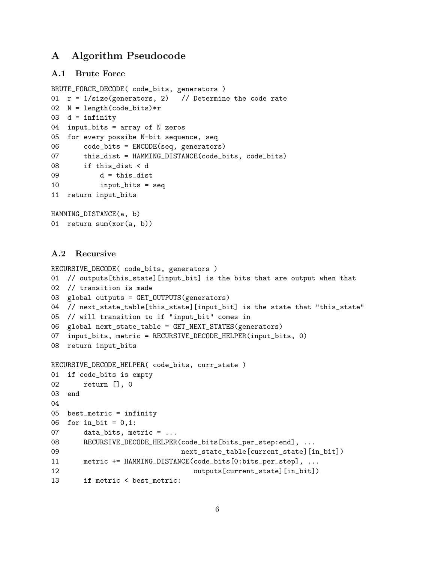## A Algorithm Pseudocode

### A.1 Brute Force

```
BRUTE_FORCE_DECODE( code_bits, generators )
01 r = 1/size(generators, 2) // Determine the code rate
02 N = length(code_bits)*r
03 d = \text{infinity}04 input_bits = array of N zeros
05 for every possibe N-bit sequence, seq
06 code_bits = ENCODE(seq, generators)
07 this_dist = HAMMING_DISTANCE(code_bits, code_bits)
08 if this_dist < d
09 d = this_dist
10 input_bits = seq
11 return input_bits
HAMMING_DISTANCE(a, b)
```

```
01 return sum(xor(a, b))
```
## A.2 Recursive

```
RECURSIVE_DECODE( code_bits, generators )
01 // outputs[this_state][input_bit] is the bits that are output when that
02 // transition is made
03 global outputs = GET_OUTPUTS(generators)
04 // next_state_table[this_state][input_bit] is the state that "this_state"
05 // will transition to if "input_bit" comes in
06 global next_state_table = GET_NEXT_STATES(generators)
07 input_bits, metric = RECURSIVE_DECODE_HELPER(input_bits, 0)
08 return input_bits
RECURSIVE_DECODE_HELPER( code_bits, curr_state )
01 if code_bits is empty
02 return [], 0
03 end
04
05 best_metric = infinity
06 for in_bit = 0,1:
07 data_bits, metric = ...
08 RECURSIVE_DECODE_HELPER(code_bits[bits_per_step:end], ...
09 next_state_table[current_state][in_bit])
11 metric += HAMMING_DISTANCE(code_bits[0:bits_per_step], ...
12 outputs [current_state] [in_bit])
13 if metric < best_metric:
```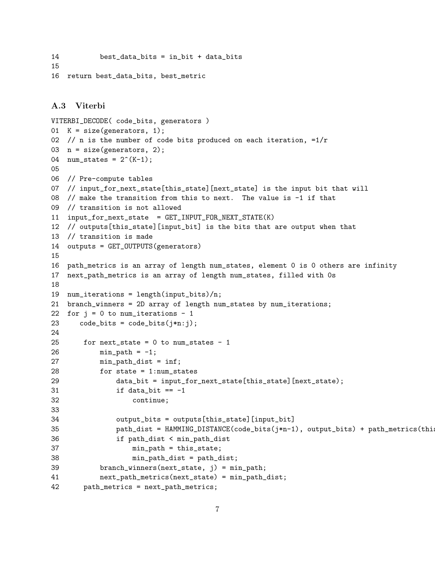```
14 best_data_bits = in_bit + data_bits
15
16 return best_data_bits, best_metric
```
## A.3 Viterbi

```
VITERBI_DECODE( code_bits, generators )
01 K = size(generators, 1);02 // n is the number of code bits produced on each iteration, =1/r03 n = size(generators, 2);
04 num_states = 2^{(k-1)};
05
06 // Pre-compute tables
07 // input_for_next_state[this_state][next_state] is the input bit that will
08 // make the transition from this to next. The value is -1 if that
09 // transition is not allowed
11 input_for_next_state = GET_INPUT_FOR_NEXT_STATE(K)
12 // outputs[this_state][input_bit] is the bits that are output when that
13 // transition is made
14 outputs = GET_OUTPUTS(generators)
15
16 path_metrics is an array of length num_states, element 0 is 0 others are infinity
17 next_path_metrics is an array of length num_states, filled with 0s
18
19 num_iterations = length(input_bits)/n;
21 branch_winners = 2D array of length num_states by num_iterations;
22 for j = 0 to num_iterations - 1
23 code_bits = code_bits(j*n:j);24
25 for next_state = 0 to num_states - 1
26 min_path = -1;
27 min_path_dist = inf;
28 for state = 1:num_states
29 data_bit = input_for_next_state[this_state][next_state);
31 if data_bit == -132 continue;
33
34 output_bits = outputs[this_state][input_bit]
35 path_dist = HAMMING_DISTANCE(code_bits(j*n-1), output_bits) + path_metrics(this
36 if path_dist < min_path_dist
37 min_path = this_state;
38 min_path_dist = path_dist;
39 branch_winners(next_state, j) = min_path;
41 next_path_metrics(next_state) = min_path_dist;
42 path_metrics = next_path_metrics;
```